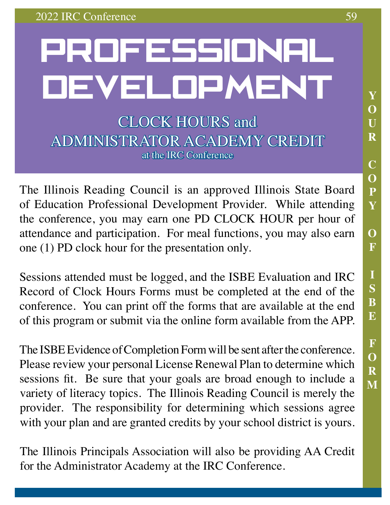# PROFESSIONAL DEVELOPMENT CLOCK HOURS and ADMINISTRATOR ACADEMY CREDIT

The Illinois Reading Council is an approved Illinois State Board of Education Professional Development Provider. While attending the conference, you may earn one PD CLOCK HOUR per hour of attendance and participation. For meal functions, you may also earn one (1) PD clock hour for the presentation only.

at the IRC Conference

Sessions attended must be logged, and the ISBE Evaluation and IRC Record of Clock Hours Forms must be completed at the end of the conference. You can print off the forms that are available at the end of this program or submit via the online form available from the APP.

The ISBE Evidence of Completion Form will be sent after the conference. Please review your personal License Renewal Plan to determine which sessions fit. Be sure that your goals are broad enough to include a variety of literacy topics. The Illinois Reading Council is merely the provider. The responsibility for determining which sessions agree with your plan and are granted credits by your school district is yours.

The Illinois Principals Association will also be providing AA Credit for the Administrator Academy at the IRC Conference.

**Y**

**O**

**U**

**R**

**C**

**O**

**P**

**Y**

**O**

**F**

**I**

**S**

**B**

**E**

**F**

**O**

**R**

**M**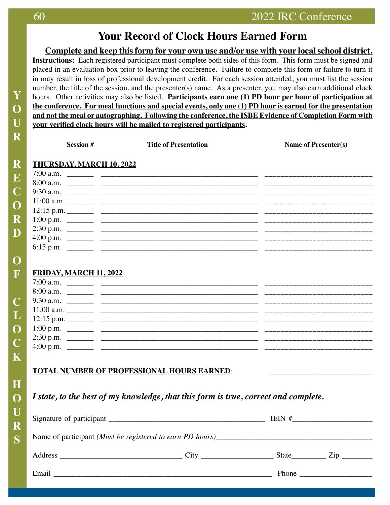### **Your Record of Clock Hours Earned Form**

**Complete and keep this form for your own use and/or use with your local school district. Instructions:** Each registered participant must complete both sides of this form. This form must be signed and placed in an evaluation box prior to leaving the conference. Failure to complete this form or failure to turn it in may result in loss of professional development credit. For each session attended, you must list the session number, the title of the session, and the presenter(s) name. As a presenter, you may also earn additional clock hours. Other activities may also be listed. **Participants earn one (1) PD hour per hour of participation at the conference. For meal functions and special events, only one (1) PD hour is earned for the presentation and not the meal or autographing. Following the conference, the ISBE Evidence of Completion Form with your verified clock hours will be mailed to registered participants.** 

| <b>Session #</b>                | <b>Title of Presentation</b>                      | Name of Presenter(s) |
|---------------------------------|---------------------------------------------------|----------------------|
| <b>THURSDAY, MARCH 10, 2022</b> |                                                   |                      |
|                                 | 7:00 a.m.                                         |                      |
|                                 |                                                   |                      |
|                                 |                                                   |                      |
|                                 |                                                   |                      |
|                                 |                                                   |                      |
|                                 |                                                   |                      |
|                                 |                                                   |                      |
|                                 |                                                   |                      |
|                                 |                                                   |                      |
|                                 |                                                   |                      |
| <b>FRIDAY, MARCH 11, 2022</b>   |                                                   |                      |
|                                 |                                                   |                      |
|                                 |                                                   |                      |
|                                 |                                                   |                      |
|                                 |                                                   |                      |
|                                 |                                                   |                      |
|                                 |                                                   |                      |
|                                 |                                                   |                      |
|                                 |                                                   |                      |
|                                 |                                                   |                      |
|                                 |                                                   |                      |
|                                 | <b>TOTAL NUMBER OF PROFESSIONAL HOURS EARNED:</b> |                      |

*I state, to the best of my knowledge, that this form is true, correct and complete.*

|  |  |  | State Zip                                                                                                                                                                                                                                                                                                                                                                                                              |  |
|--|--|--|------------------------------------------------------------------------------------------------------------------------------------------------------------------------------------------------------------------------------------------------------------------------------------------------------------------------------------------------------------------------------------------------------------------------|--|
|  |  |  | Phone $\frac{1}{\sqrt{1-\frac{1}{2}}}\left\{ \frac{1}{2}, \frac{1}{2}, \frac{1}{2}, \frac{1}{2}, \frac{1}{2}, \frac{1}{2}, \frac{1}{2}, \frac{1}{2}, \frac{1}{2}, \frac{1}{2}, \frac{1}{2}, \frac{1}{2}, \frac{1}{2}, \frac{1}{2}, \frac{1}{2}, \frac{1}{2}, \frac{1}{2}, \frac{1}{2}, \frac{1}{2}, \frac{1}{2}, \frac{1}{2}, \frac{1}{2}, \frac{1}{2}, \frac{1}{2}, \frac{1}{2}, \frac{1}{2}, \frac{1}{2}, \frac{1}{$ |  |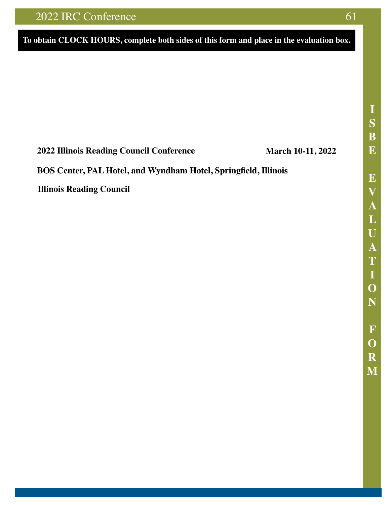### 2022 IRC Conference

### To obtain CLOCK HOURS, complete both sides of this form and place in the evaluation box.



### **Illinois State Board of Education**

**EVALUATION FOR WORKSHOP, CONFERENCE, SEMINAR, ETC.** 

100 North First Street, E-240 Springfield, Illinois 62777-0001

#### **EDUCATOR EFFECTIVENESS DEPARTMENT**

DIRECTIONS: Please complete and return this form to the presenters of the professional development activity. Providers must retain this form for a minimum of six years for ISBE auditing purposes.

TITLE OF PROFESSIONAL DEVELOPMENT ACTIVITY

#### 2022 Illinois Reading Council Conference

**March 10-11, 2022** 

LOCATION (Facility, City, State)

### BOS Center, PAL Hotel, and Wyndham Hotel, Springfield, Illinois

NAME OF PROVIDER

### **Illinois Reading Council**

- 1. Indicate the outcome(s) of this professional development. (Check all that apply)
	- □ Increased the knowledge and skills of school and district leaders who guide continuous professional development
	- $\Box$  Will lead to improved learning for students
	- □ Addressed the organization of adults into learning communities whose goals are aligned with those of their schools and districts
	- □ Deepened participants' content knowledge in one or more content (subject) areas
	- □ Provided participants with research-based instructional strategies to assist students in meeting rigorous academic standards
	- $\square$  Prepared participants to appropriately use various types of classroom assessments
	- $\Box$  Used learning strategies appropriate to the intended goals
	- $\Box$  Provided participants with the knowledge and skills to collaborate
	- $\Box$  Prepared participants to apply research to decision-making

□ Provided educators with training on inclusive practices in the classroom that examines instructional and behavioral strategies that improve academic and social-emotional outcomes for all students, with or without disabilities, in a general education setting

- $\Box$  None of the above describes the effects of this professional development
- 2. Identify those statements that directly apply to this professional development. (Check all that apply)
	- □ Activities were of a type that engaged participants over a sustained period of time allowing for analysis, discovery, and application as they relate to student learning, social or emotional achievement, or well-being.
	- $\square$  This professional development aligned to my performance as an educator.
	- $\Box$  The outcomes for the activities relate to student growth or district improvement.
	- □ The activities offered for this event aligned to State-approved standards.
		- □ Professional Development Standards
		- □ Illinois Content Area Standards
		- □ Professional Educator Standards
		- □ Illinois Professional Leader Standards

 $\Box$  This activity was higher education coursework.

 $\Box$  None of these statements apply to this professional development.

3. For each statement below, write the number (4 to 1) that best describes how you feel about your experience in this professional development.

- 4 Strongly Agree  $3 - \text{Agree}$ 2 - Somewhat Agree  $1 - Disagree$
- The outcomes of this professional development were clearly identified as the knowledge and/or skills that I should gain as a A. result of my participation.
- $B.$  . This professional development will impact my professional growth or student growth in regards to content knowledge or skills, or both.
- $C.$   $\qquad$ ... This professional development will impact my social and emotional growth or student social and emotionalgrowth.
- \_ Overall, the presenter appeared to be knowledgeable of the content provided D. <sub>—</sub>
- The materials and presentation techniques utilized were well-organized and engaging
- The professional development aligned to my district or school improvement plans.  $F.$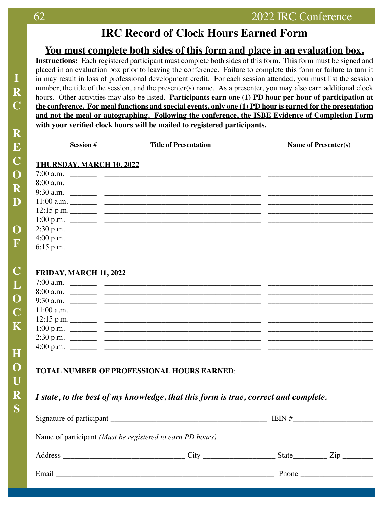### **IRC Record of Clock Hours Earned Form**

### **You must complete both sides of this form and place in an evaluation box.**

**Instructions:** Each registered participant must complete both sides of this form. This form must be signed and placed in an evaluation box prior to leaving the conference. Failure to complete this form or failure to turn it in may result in loss of professional development credit. For each session attended, you must list the session number, the title of the session, and the presenter(s) name. As a presenter, you may also earn additional clock hours. Other activities may also be listed. **Participants earn one (1) PD hour per hour of participation at the conference. For meal functions and special events, only one (1) PD hour is earned for the presentation and not the meal or autographing. Following the conference, the ISBE Evidence of Completion Form with your verified clock hours will be mailed to registered participants.** 

| <b>Session #</b>                | <b>Title of Presentation</b> | Name of Presenter(s) |
|---------------------------------|------------------------------|----------------------|
| <b>THURSDAY, MARCH 10, 2022</b> |                              |                      |
|                                 |                              |                      |
|                                 |                              |                      |
|                                 |                              |                      |
|                                 |                              |                      |
|                                 |                              |                      |
|                                 |                              |                      |
|                                 |                              |                      |
|                                 |                              |                      |
|                                 |                              |                      |
|                                 |                              |                      |
|                                 |                              |                      |
| FRIDAY, MARCH 11, 2022          |                              |                      |
|                                 |                              |                      |
|                                 |                              |                      |
|                                 |                              |                      |
|                                 |                              |                      |
|                                 |                              |                      |
|                                 |                              |                      |
|                                 |                              |                      |
|                                 |                              |                      |

### **TOTAL NUMBER OF PROFESSIONAL HOURS EARNED:**

### *I state, to the best of my knowledge, that this form is true, correct and complete.*

|  |  |                                                        | $\mathsf{Zip}$ |  |
|--|--|--------------------------------------------------------|----------------|--|
|  |  | Phone $\frac{1}{\sqrt{1-\frac{1}{2}}\cdot\frac{1}{2}}$ |                |  |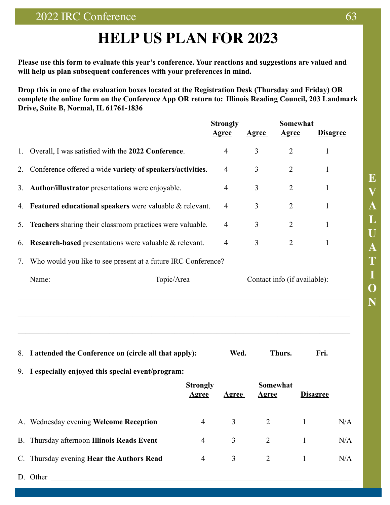## **HELP US PLAN FOR 2023**

**Please use this form to evaluate this year's conference. Your reactions and suggestions are valued and will help us plan subsequent conferences with your preferences in mind.** 

**Drop this in one of the evaluation boxes located at the Registration Desk (Thursday and Friday) OR complete the online form on the Conference App OR return to: Illinois Reading Council, 203 Landmark Drive, Suite B, Normal, IL 61761-1836**

|    |                                                               | <b>Strongly</b><br><u>Agree</u>  | <b>Agree</b>   | Somewhat<br><u>Agree</u>     | <b>Disagree</b> |     |
|----|---------------------------------------------------------------|----------------------------------|----------------|------------------------------|-----------------|-----|
| 1. | Overall, I was satisfied with the 2022 Conference.            | $\overline{4}$                   | 3              | $\overline{2}$               | 1               |     |
| 2. | Conference offered a wide variety of speakers/activities.     | 4                                | 3              | $\overline{2}$               | 1               |     |
| 3. | Author/illustrator presentations were enjoyable.              | $\overline{4}$                   | 3              | $\overline{2}$               | 1               |     |
| 4. | Featured educational speakers were valuable & relevant.       | 4                                | 3              | $\overline{2}$               | 1               |     |
| 5. | Teachers sharing their classroom practices were valuable.     | $\overline{4}$                   | 3              | $\overline{2}$               | 1               |     |
| 6. | <b>Research-based</b> presentations were valuable & relevant. | $\overline{4}$                   | 3              | $\overline{2}$               | 1               |     |
| 7. | Who would you like to see present at a future IRC Conference? |                                  |                |                              |                 |     |
|    | Name:<br>Topic/Area                                           |                                  |                | Contact info (if available): |                 |     |
|    |                                                               |                                  |                |                              |                 |     |
| 8. | I attended the Conference on (circle all that apply):         |                                  | Wed.           | Thurs.                       | Fri.            |     |
| 9. | I especially enjoyed this special event/program:              |                                  |                |                              |                 |     |
|    | <b>Strongly</b><br><u>Agree</u>                               | <u>Agree</u>                     | <u>Agree</u>   | <b>Somewhat</b>              | <b>Disagree</b> |     |
|    | A. Wednesday evening Welcome Reception                        | 3<br>$\overline{4}$              | $\overline{2}$ | $\mathbf{1}$                 |                 | N/A |
|    | B. Thursday afternoon Illinois Reads Event                    | 3<br>4                           | $\overline{2}$ | $\mathbf{1}$                 |                 | N/A |
|    | C. Thursday evening Hear the Authors Read                     | $\mathfrak{Z}$<br>$\overline{4}$ | $\overline{2}$ | $\mathbf{1}$                 |                 | N/A |
|    | D. Other                                                      |                                  |                |                              |                 |     |